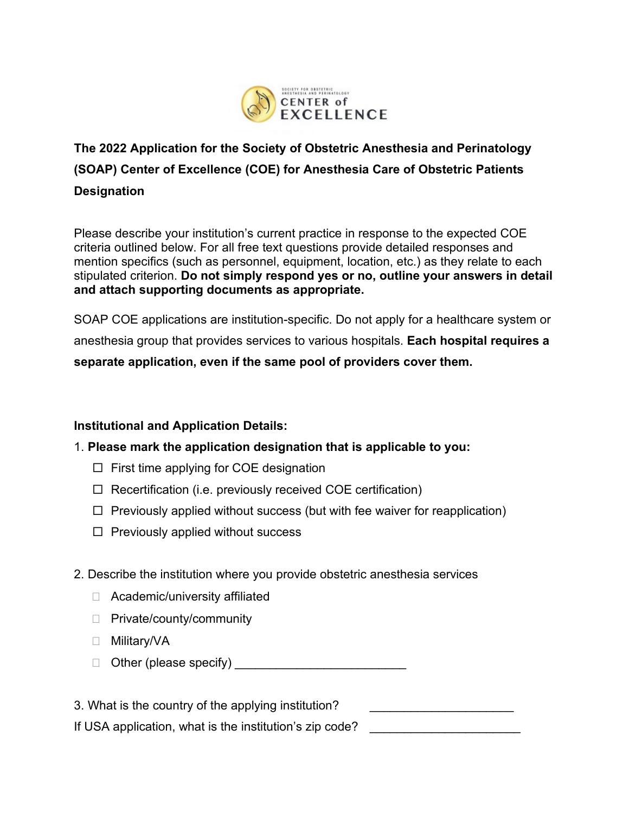

# **The 2022 Application for the Society of Obstetric Anesthesia and Perinatology (SOAP) Center of Excellence (COE) for Anesthesia Care of Obstetric Patients Designation**

Please describe your institution's current practice in response to the expected COE criteria outlined below. For all free text questions provide detailed responses and mention specifics (such as personnel, equipment, location, etc.) as they relate to each stipulated criterion. **Do not simply respond yes or no, outline your answers in detail and attach supporting documents as appropriate.**

SOAP COE applications are institution-specific. Do not apply for a healthcare system or anesthesia group that provides services to various hospitals. **Each hospital requires a separate application, even if the same pool of providers cover them.**

# **Institutional and Application Details:**

# 1. **Please mark the application designation that is applicable to you:**

- $\Box$  First time applying for COE designation
- $\Box$  Recertification (i.e. previously received COE certification)
- $\Box$  Previously applied without success (but with fee waiver for reapplication)
- $\Box$  Previously applied without success

# 2. Describe the institution where you provide obstetric anesthesia services

- □ Academic/university affiliated
- $\Box$  Private/county/community
- □ Military/VA
- Other (please specify) \_\_\_\_\_\_\_\_\_\_\_\_\_\_\_\_\_\_\_\_\_\_\_\_\_

3. What is the country of the applying institution? If USA application, what is the institution's zip code?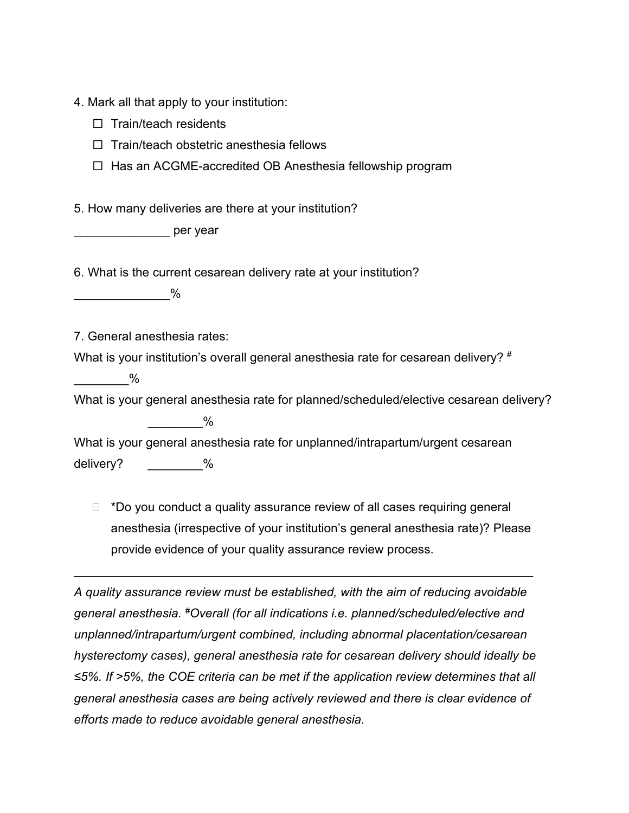4. Mark all that apply to your institution:

- $\Box$  Train/teach residents
- $\Box$  Train/teach obstetric anesthesia fellows
- $\Box$  Has an ACGME-accredited OB Anesthesia fellowship program

5. How many deliveries are there at your institution?

\_\_\_\_\_\_\_\_\_\_\_\_\_\_ per year

6. What is the current cesarean delivery rate at your institution?

 $\frac{0}{0}$ 

7. General anesthesia rates:

What is your institution's overall general anesthesia rate for cesarean delivery? #

 $\%$ 

What is your general anesthesia rate for planned/scheduled/elective cesarean delivery?  $\sim$   $\%$ 

What is your general anesthesia rate for unplanned/intrapartum/urgent cesarean delivery?  $\frac{1}{2}$  %

 $\Box$  \*Do you conduct a quality assurance review of all cases requiring general anesthesia (irrespective of your institution's general anesthesia rate)? Please provide evidence of your quality assurance review process.

\_\_\_\_\_\_\_\_\_\_\_\_\_\_\_\_\_\_\_\_\_\_\_\_\_\_\_\_\_\_\_\_\_\_\_\_\_\_\_\_\_\_\_\_\_\_\_\_\_\_\_\_\_\_\_\_\_\_\_\_\_\_\_\_\_\_\_

*A quality assurance review must be established, with the aim of reducing avoidable general anesthesia. #Overall (for all indications i.e. planned/scheduled/elective and unplanned/intrapartum/urgent combined, including abnormal placentation/cesarean hysterectomy cases), general anesthesia rate for cesarean delivery should ideally be ≤5%. If >5%, the COE criteria can be met if the application review determines that all general anesthesia cases are being actively reviewed and there is clear evidence of efforts made to reduce avoidable general anesthesia.*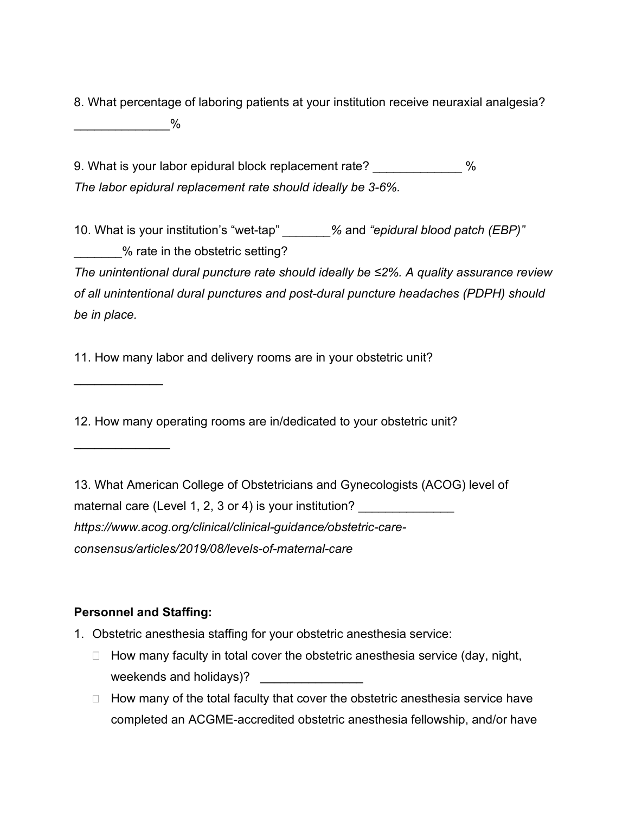8. What percentage of laboring patients at your institution receive neuraxial analgesia? \_\_\_\_\_\_\_\_\_\_\_\_\_\_%

9. What is your labor epidural block replacement rate?  $\%$ *The labor epidural replacement rate should ideally be 3-6%.*

10. What is your institution's "wet-tap" *\_\_\_\_\_\_\_%* and *"epidural blood patch (EBP)"* \_\_\_\_\_\_\_% rate in the obstetric setting?

*The unintentional dural puncture rate should ideally be ≤2%. A quality assurance review of all unintentional dural punctures and post-dural puncture headaches (PDPH) should be in place.*

11. How many labor and delivery rooms are in your obstetric unit?

12. How many operating rooms are in/dedicated to your obstetric unit?

13. What American College of Obstetricians and Gynecologists (ACOG) level of maternal care (Level 1, 2, 3 or 4) is your institution? *https://www.acog.org/clinical/clinical-guidance/obstetric-careconsensus/articles/2019/08/levels-of-maternal-care*

#### **Personnel and Staffing:**

 $\overline{\phantom{a}}$ 

\_\_\_\_\_\_\_\_\_\_\_\_\_\_

- 1. Obstetric anesthesia staffing for your obstetric anesthesia service:
	- $\Box$  How many faculty in total cover the obstetric anesthesia service (day, night, weekends and holidays)?
	- $\Box$  How many of the total faculty that cover the obstetric anesthesia service have completed an ACGME-accredited obstetric anesthesia fellowship, and/or have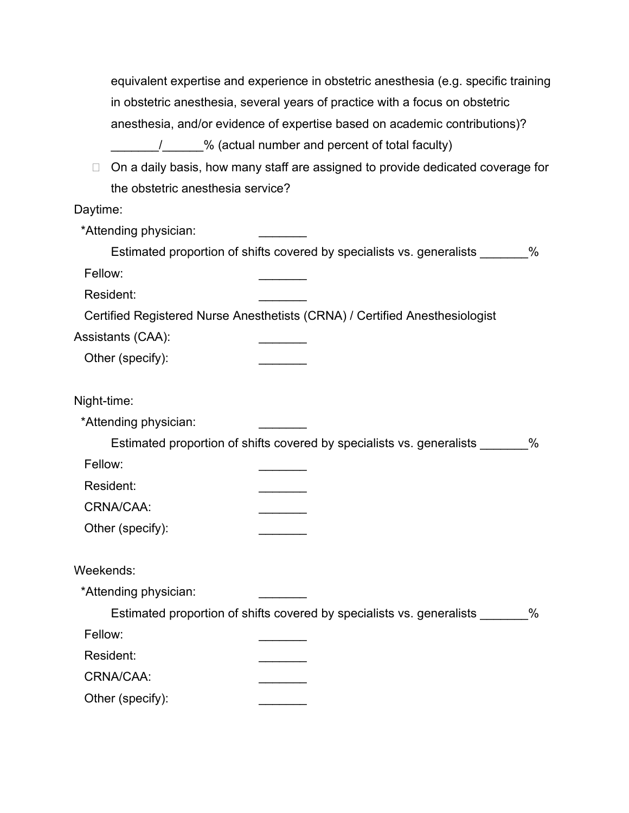| equivalent expertise and experience in obstetric anesthesia (e.g. specific training |
|-------------------------------------------------------------------------------------|
| in obstetric anesthesia, several years of practice with a focus on obstetric        |
| anesthesia, and/or evidence of expertise based on academic contributions)?          |
| % (actual number and percent of total faculty)                                      |
| On a daily basis, how many staff are assigned to provide dedicated coverage for     |

 $\Box$  On a daily basis, how many staff are assigned to provide dedicated coverage for the obstetric anesthesia service?

# Daytime:

| *Attending physician: |                                                                               |      |
|-----------------------|-------------------------------------------------------------------------------|------|
|                       | Estimated proportion of shifts covered by specialists vs. generalists _______ | $\%$ |
| Fellow:               |                                                                               |      |
| Resident:             |                                                                               |      |
|                       | Certified Registered Nurse Anesthetists (CRNA) / Certified Anesthesiologist   |      |
| Assistants (CAA):     |                                                                               |      |
| Other (specify):      |                                                                               |      |
| Night-time:           |                                                                               |      |
| *Attending physician: |                                                                               |      |
|                       | Estimated proportion of shifts covered by specialists vs. generalists         | $\%$ |
| Fellow:               |                                                                               |      |
| Resident:             |                                                                               |      |
| CRNA/CAA:             |                                                                               |      |
| Other (specify):      |                                                                               |      |
| Weekends:             |                                                                               |      |
| *Attending physician: |                                                                               |      |
|                       | Estimated proportion of shifts covered by specialists vs. generalists         | $\%$ |
| Fellow:               |                                                                               |      |
| Resident:             |                                                                               |      |
| CRNA/CAA:             |                                                                               |      |
| Other (specify):      |                                                                               |      |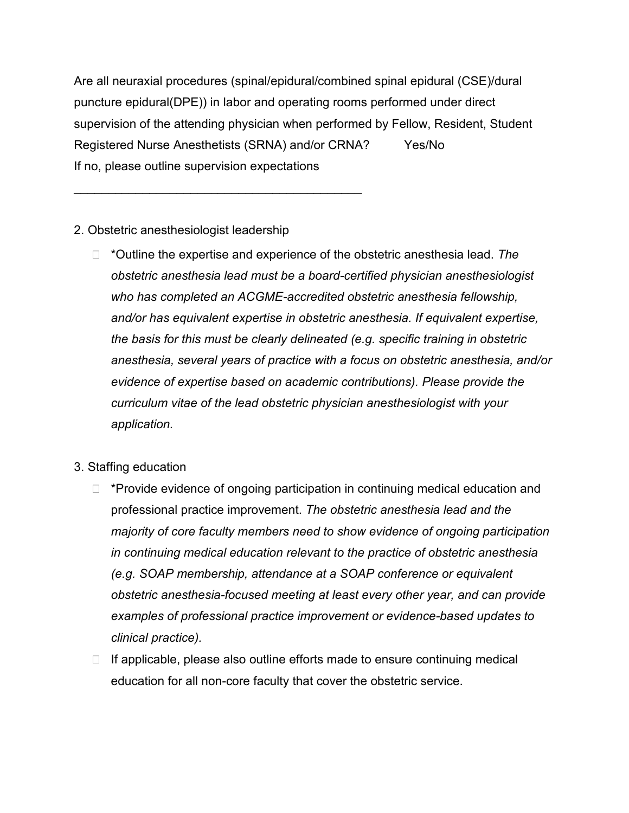Are all neuraxial procedures (spinal/epidural/combined spinal epidural (CSE)/dural puncture epidural(DPE)) in labor and operating rooms performed under direct supervision of the attending physician when performed by Fellow, Resident, Student Registered Nurse Anesthetists (SRNA) and/or CRNA? Yes/No If no, please outline supervision expectations

2. Obstetric anesthesiologist leadership

\_\_\_\_\_\_\_\_\_\_\_\_\_\_\_\_\_\_\_\_\_\_\_\_\_\_\_\_\_\_\_\_\_\_\_\_\_\_\_\_\_\_

- \*Outline the expertise and experience of the obstetric anesthesia lead. *The obstetric anesthesia lead must be a board-certified physician anesthesiologist who has completed an ACGME-accredited obstetric anesthesia fellowship, and/or has equivalent expertise in obstetric anesthesia. If equivalent expertise, the basis for this must be clearly delineated (e.g. specific training in obstetric anesthesia, several years of practice with a focus on obstetric anesthesia, and/or evidence of expertise based on academic contributions). Please provide the curriculum vitae of the lead obstetric physician anesthesiologist with your application.*
- 3. Staffing education
	- $\Box$  \*Provide evidence of ongoing participation in continuing medical education and professional practice improvement. *The obstetric anesthesia lead and the majority of core faculty members need to show evidence of ongoing participation in continuing medical education relevant to the practice of obstetric anesthesia (e.g. SOAP membership, attendance at a SOAP conference or equivalent obstetric anesthesia-focused meeting at least every other year, and can provide examples of professional practice improvement or evidence-based updates to clinical practice).*
	- $\Box$  If applicable, please also outline efforts made to ensure continuing medical education for all non-core faculty that cover the obstetric service.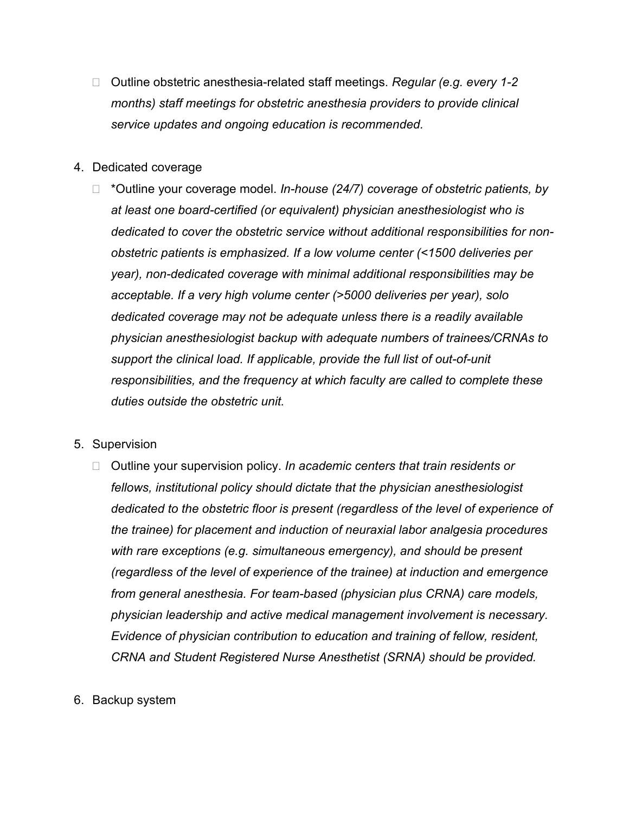- Outline obstetric anesthesia-related staff meetings. *Regular (e.g. every 1-2 months) staff meetings for obstetric anesthesia providers to provide clinical service updates and ongoing education is recommended.*
- 4. Dedicated coverage
	- \*Outline your coverage model. *In-house (24/7) coverage of obstetric patients, by at least one board-certified (or equivalent) physician anesthesiologist who is dedicated to cover the obstetric service without additional responsibilities for nonobstetric patients is emphasized. If a low volume center (<1500 deliveries per year), non-dedicated coverage with minimal additional responsibilities may be acceptable. If a very high volume center (>5000 deliveries per year), solo dedicated coverage may not be adequate unless there is a readily available physician anesthesiologist backup with adequate numbers of trainees/CRNAs to support the clinical load. If applicable, provide the full list of out-of-unit responsibilities, and the frequency at which faculty are called to complete these duties outside the obstetric unit.*
- 5. Supervision
	- □ Outline your supervision policy. In academic centers that train residents or *fellows, institutional policy should dictate that the physician anesthesiologist dedicated to the obstetric floor is present (regardless of the level of experience of the trainee) for placement and induction of neuraxial labor analgesia procedures with rare exceptions (e.g. simultaneous emergency), and should be present (regardless of the level of experience of the trainee) at induction and emergence from general anesthesia. For team-based (physician plus CRNA) care models, physician leadership and active medical management involvement is necessary. Evidence of physician contribution to education and training of fellow, resident, CRNA and Student Registered Nurse Anesthetist (SRNA) should be provided.*
- 6. Backup system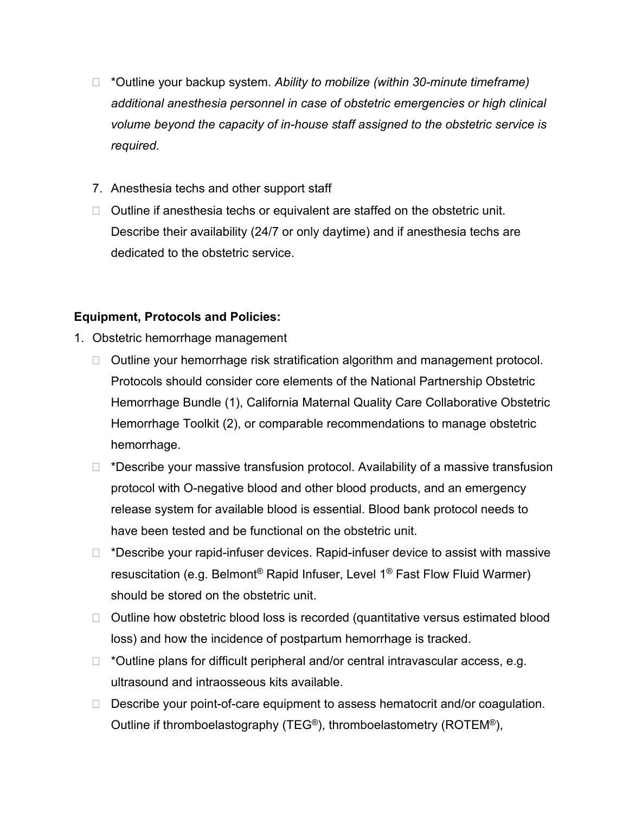- \*Outline your backup system. *Ability to mobilize (within 30-minute timeframe) additional anesthesia personnel in case of obstetric emergencies or high clinical volume beyond the capacity of in-house staff assigned to the obstetric service is required.*
- 7. Anesthesia techs and other support staff
- $\Box$  Outline if anesthesia techs or equivalent are staffed on the obstetric unit. Describe their availability (24/7 or only daytime) and if anesthesia techs are dedicated to the obstetric service.

# **Equipment, Protocols and Policies:**

- 1. Obstetric hemorrhage management
	- □ Outline your hemorrhage risk stratification algorithm and management protocol. Protocols should consider core elements of the National Partnership Obstetric Hemorrhage Bundle (1), California Maternal Quality Care Collaborative Obstetric Hemorrhage Toolkit (2), or comparable recommendations to manage obstetric hemorrhage.
	- $\Box$  \*Describe your massive transfusion protocol. Availability of a massive transfusion protocol with O-negative blood and other blood products, and an emergency release system for available blood is essential. Blood bank protocol needs to have been tested and be functional on the obstetric unit.
	- $\Box$  \*Describe your rapid-infuser devices. Rapid-infuser device to assist with massive resuscitation (e.g. Belmont® Rapid Infuser, Level 1® Fast Flow Fluid Warmer) should be stored on the obstetric unit.
	- $\Box$  Outline how obstetric blood loss is recorded (quantitative versus estimated blood loss) and how the incidence of postpartum hemorrhage is tracked.
	- $\Box$  \*Outline plans for difficult peripheral and/or central intravascular access, e.g. ultrasound and intraosseous kits available.
	- $\Box$  Describe your point-of-care equipment to assess hematocrit and/or coagulation. Outline if thromboelastography (TEG®), thromboelastometry (ROTEM®),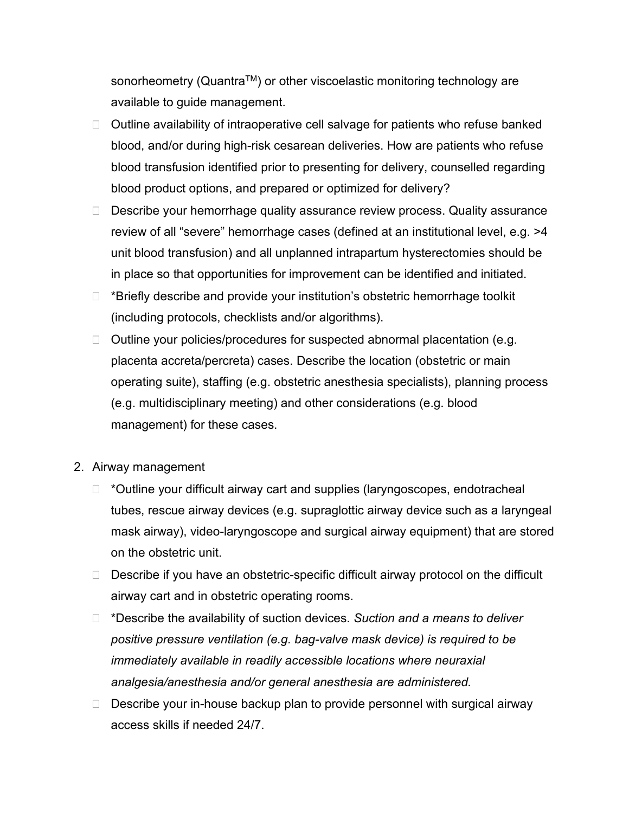sonorheometry (Quantra™) or other viscoelastic monitoring technology are available to guide management.

- $\Box$  Outline availability of intraoperative cell salvage for patients who refuse banked blood, and/or during high-risk cesarean deliveries. How are patients who refuse blood transfusion identified prior to presenting for delivery, counselled regarding blood product options, and prepared or optimized for delivery?
- $\Box$  Describe your hemorrhage quality assurance review process. Quality assurance review of all "severe" hemorrhage cases (defined at an institutional level, e.g. >4 unit blood transfusion) and all unplanned intrapartum hysterectomies should be in place so that opportunities for improvement can be identified and initiated.
- $\Box$  \*Briefly describe and provide your institution's obstetric hemorrhage toolkit (including protocols, checklists and/or algorithms).
- $\Box$  Outline your policies/procedures for suspected abnormal placentation (e.g. placenta accreta/percreta) cases. Describe the location (obstetric or main operating suite), staffing (e.g. obstetric anesthesia specialists), planning process (e.g. multidisciplinary meeting) and other considerations (e.g. blood management) for these cases.
- 2. Airway management
	- $\Box$  \*Outline your difficult airway cart and supplies (laryngoscopes, endotracheal tubes, rescue airway devices (e.g. supraglottic airway device such as a laryngeal mask airway), video-laryngoscope and surgical airway equipment) that are stored on the obstetric unit.
	- $\Box$  Describe if you have an obstetric-specific difficult airway protocol on the difficult airway cart and in obstetric operating rooms.
	- \*Describe the availability of suction devices. *Suction and a means to deliver positive pressure ventilation (e.g. bag-valve mask device) is required to be immediately available in readily accessible locations where neuraxial analgesia/anesthesia and/or general anesthesia are administered.*
	- $\Box$  Describe your in-house backup plan to provide personnel with surgical airway access skills if needed 24/7.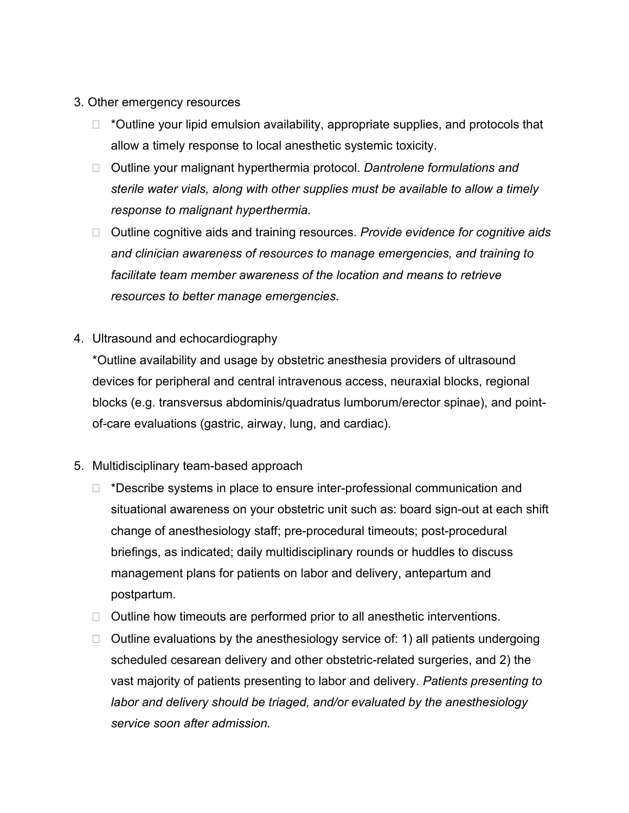- 3. Other emergency resources
	- $\Box$  \*Outline your lipid emulsion availability, appropriate supplies, and protocols that allow a timely response to local anesthetic systemic toxicity.
	- Outline your malignant hyperthermia protocol. *Dantrolene formulations and sterile water vials, along with other supplies must be available to allow a timely response to malignant hyperthermia.*
	- □ Outline cognitive aids and training resources. Provide evidence for cognitive aids *and clinician awareness of resources to manage emergencies, and training to facilitate team member awareness of the location and means to retrieve resources to better manage emergencies.*
- 4. Ultrasound and echocardiography

\*Outline availability and usage by obstetric anesthesia providers of ultrasound devices for peripheral and central intravenous access, neuraxial blocks, regional blocks (e.g. transversus abdominis/quadratus lumborum/erector spinae), and pointof-care evaluations (gastric, airway, lung, and cardiac).

- 5. Multidisciplinary team-based approach
	- $\Box$  \*Describe systems in place to ensure inter-professional communication and situational awareness on your obstetric unit such as: board sign-out at each shift change of anesthesiology staff; pre-procedural timeouts; post-procedural briefings, as indicated; daily multidisciplinary rounds or huddles to discuss management plans for patients on labor and delivery, antepartum and postpartum.
	- $\Box$  Outline how timeouts are performed prior to all anesthetic interventions.
	- $\Box$  Outline evaluations by the anesthesiology service of: 1) all patients undergoing scheduled cesarean delivery and other obstetric-related surgeries, and 2) the vast majority of patients presenting to labor and delivery. *Patients presenting to labor and delivery should be triaged, and/or evaluated by the anesthesiology service soon after admission.*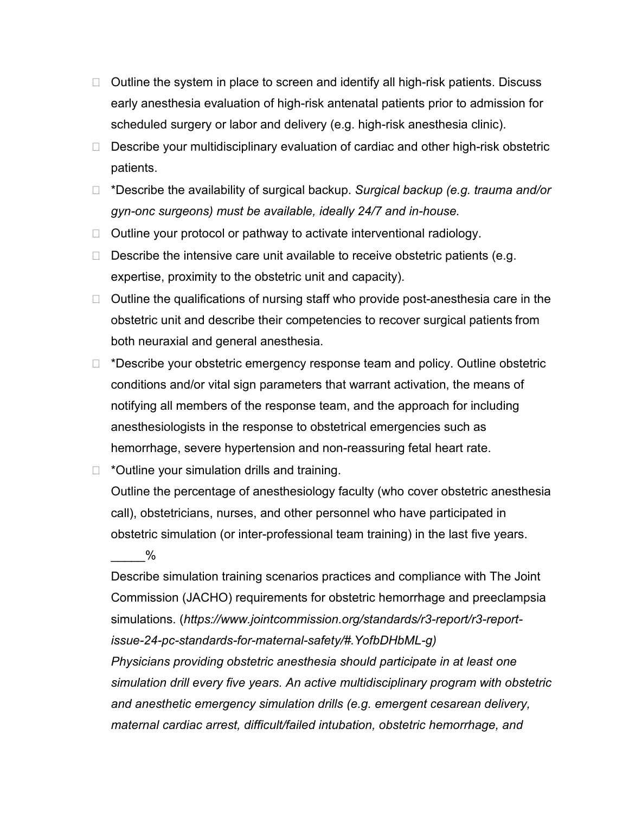- $\Box$  Outline the system in place to screen and identify all high-risk patients. Discuss early anesthesia evaluation of high-risk antenatal patients prior to admission for scheduled surgery or labor and delivery (e.g. high-risk anesthesia clinic).
- □ Describe your multidisciplinary evaluation of cardiac and other high-risk obstetric patients.
- \*Describe the availability of surgical backup. *Surgical backup (e.g. trauma and/or gyn-onc surgeons) must be available, ideally 24/7 and in-house.*
- $\Box$  Outline your protocol or pathway to activate interventional radiology.
- $\Box$  Describe the intensive care unit available to receive obstetric patients (e.g. expertise, proximity to the obstetric unit and capacity).
- $\Box$  Outline the qualifications of nursing staff who provide post-anesthesia care in the obstetric unit and describe their competencies to recover surgical patients from both neuraxial and general anesthesia.
- $\Box$  \*Describe your obstetric emergency response team and policy. Outline obstetric conditions and/or vital sign parameters that warrant activation, the means of notifying all members of the response team, and the approach for including anesthesiologists in the response to obstetrical emergencies such as hemorrhage, severe hypertension and non-reassuring fetal heart rate.
- $\Box$  \*Outline your simulation drills and training.

Outline the percentage of anesthesiology faculty (who cover obstetric anesthesia call), obstetricians, nurses, and other personnel who have participated in obstetric simulation (or inter-professional team training) in the last five years.

 $\%$ 

Describe simulation training scenarios practices and compliance with The Joint Commission (JACHO) requirements for obstetric hemorrhage and preeclampsia simulations. (*https://www.jointcommission.org/standards/r3-report/r3-reportissue-24-pc-standards-for-maternal-safety/#.YofbDHbML-g)*

*Physicians providing obstetric anesthesia should participate in at least one simulation drill every five years. An active multidisciplinary program with obstetric and anesthetic emergency simulation drills (e.g. emergent cesarean delivery, maternal cardiac arrest, difficult/failed intubation, obstetric hemorrhage, and*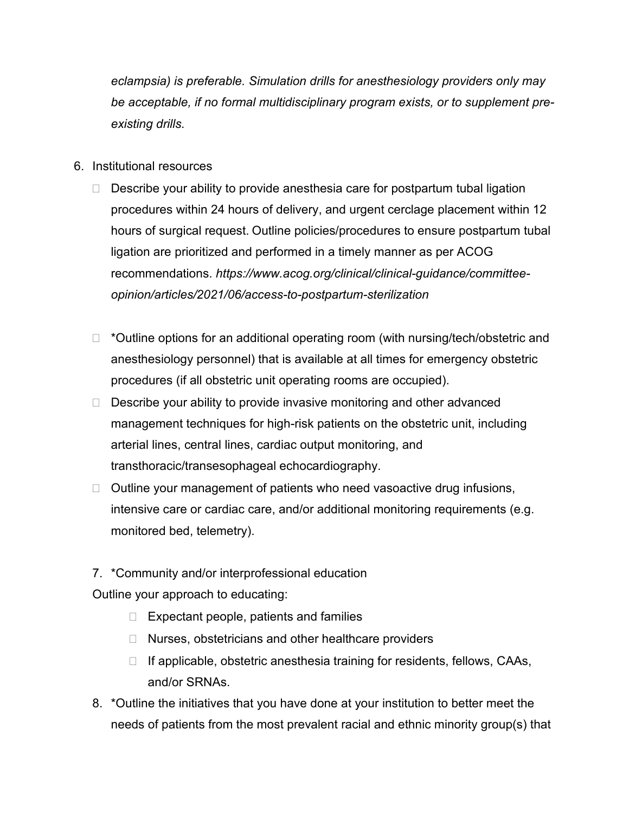*eclampsia) is preferable. Simulation drills for anesthesiology providers only may be acceptable, if no formal multidisciplinary program exists, or to supplement preexisting drills.*

- 6. Institutional resources
	- $\Box$  Describe your ability to provide anesthesia care for postpartum tubal ligation procedures within 24 hours of delivery, and urgent cerclage placement within 12 hours of surgical request. Outline policies/procedures to ensure postpartum tubal ligation are prioritized and performed in a timely manner as per ACOG recommendations. *https://www.acog.org/clinical/clinical-guidance/committeeopinion/articles/2021/06/access-to-postpartum-sterilization*
	- $\Box$  \*Outline options for an additional operating room (with nursing/tech/obstetric and anesthesiology personnel) that is available at all times for emergency obstetric procedures (if all obstetric unit operating rooms are occupied).
	- $\Box$  Describe your ability to provide invasive monitoring and other advanced management techniques for high-risk patients on the obstetric unit, including arterial lines, central lines, cardiac output monitoring, and transthoracic/transesophageal echocardiography.
	- $\Box$  Outline your management of patients who need vasoactive drug infusions, intensive care or cardiac care, and/or additional monitoring requirements (e.g. monitored bed, telemetry).
	- 7. \*Community and/or interprofessional education

Outline your approach to educating:

- $\Box$  Expectant people, patients and families
- $\Box$  Nurses, obstetricians and other healthcare providers
- $\Box$  If applicable, obstetric anesthesia training for residents, fellows, CAAs, and/or SRNAs.
- 8. \*Outline the initiatives that you have done at your institution to better meet the needs of patients from the most prevalent racial and ethnic minority group(s) that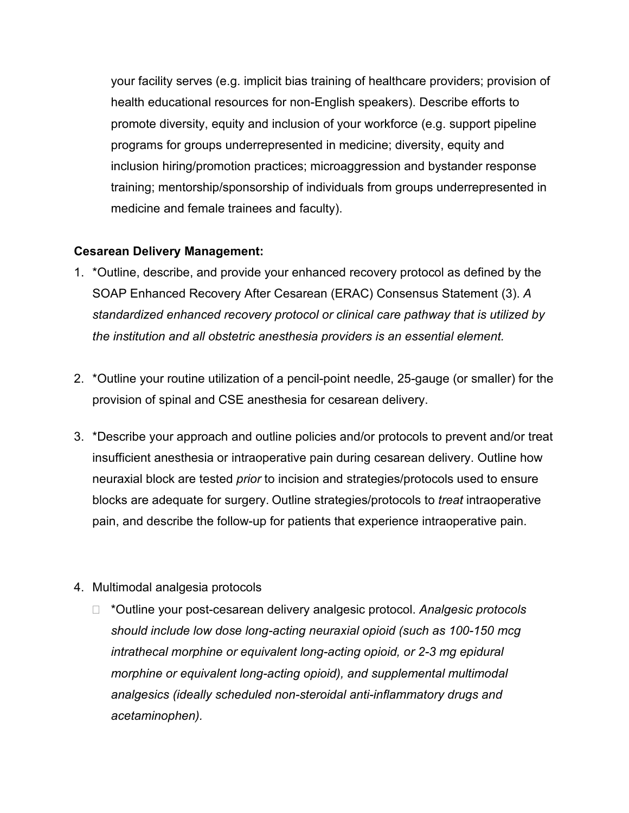your facility serves (e.g. implicit bias training of healthcare providers; provision of health educational resources for non-English speakers). Describe efforts to promote diversity, equity and inclusion of your workforce (e.g. support pipeline programs for groups underrepresented in medicine; diversity, equity and inclusion hiring/promotion practices; microaggression and bystander response training; mentorship/sponsorship of individuals from groups underrepresented in medicine and female trainees and faculty).

#### **Cesarean Delivery Management:**

- 1. \*Outline, describe, and provide your enhanced recovery protocol as defined by the SOAP Enhanced Recovery After Cesarean (ERAC) Consensus Statement (3). *A standardized enhanced recovery protocol or clinical care pathway that is utilized by the institution and all obstetric anesthesia providers is an essential element.*
- 2. \*Outline your routine utilization of a pencil-point needle, 25-gauge (or smaller) for the provision of spinal and CSE anesthesia for cesarean delivery.
- 3. \*Describe your approach and outline policies and/or protocols to prevent and/or treat insufficient anesthesia or intraoperative pain during cesarean delivery. Outline how neuraxial block are tested *prior* to incision and strategies/protocols used to ensure blocks are adequate for surgery. Outline strategies/protocols to *treat* intraoperative pain, and describe the follow-up for patients that experience intraoperative pain.
- 4. Multimodal analgesia protocols
	- \*Outline your post-cesarean delivery analgesic protocol. *Analgesic protocols should include low dose long-acting neuraxial opioid (such as 100-150 mcg intrathecal morphine or equivalent long-acting opioid, or 2-3 mg epidural morphine or equivalent long-acting opioid), and supplemental multimodal analgesics (ideally scheduled non-steroidal anti-inflammatory drugs and acetaminophen).*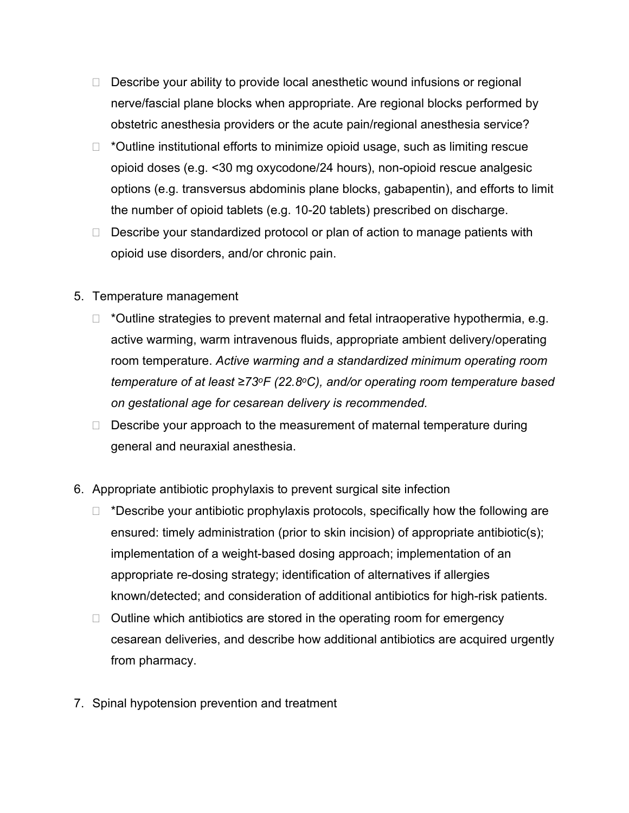- $\Box$  Describe your ability to provide local anesthetic wound infusions or regional nerve/fascial plane blocks when appropriate. Are regional blocks performed by obstetric anesthesia providers or the acute pain/regional anesthesia service?
- $\Box$  \*Outline institutional efforts to minimize opioid usage, such as limiting rescue opioid doses (e.g. <30 mg oxycodone/24 hours), non-opioid rescue analgesic options (e.g. transversus abdominis plane blocks, gabapentin), and efforts to limit the number of opioid tablets (e.g. 10-20 tablets) prescribed on discharge.
- $\Box$  Describe your standardized protocol or plan of action to manage patients with opioid use disorders, and/or chronic pain.
- 5. Temperature management
	- $\Box$  \*Outline strategies to prevent maternal and fetal intraoperative hypothermia, e.g. active warming, warm intravenous fluids, appropriate ambient delivery/operating room temperature. *Active warming and a standardized minimum operating room temperature of at least ≥73oF (22.8<sup>o</sup>C), and/or operating room temperature based on gestational age for cesarean delivery is recommended.*
	- $\Box$  Describe your approach to the measurement of maternal temperature during general and neuraxial anesthesia.
- 6. Appropriate antibiotic prophylaxis to prevent surgical site infection
	- $\Box$  \*Describe your antibiotic prophylaxis protocols, specifically how the following are ensured: timely administration (prior to skin incision) of appropriate antibiotic(s); implementation of a weight-based dosing approach; implementation of an appropriate re-dosing strategy; identification of alternatives if allergies known/detected; and consideration of additional antibiotics for high-risk patients.
	- $\Box$  Outline which antibiotics are stored in the operating room for emergency cesarean deliveries, and describe how additional antibiotics are acquired urgently from pharmacy.
- 7. Spinal hypotension prevention and treatment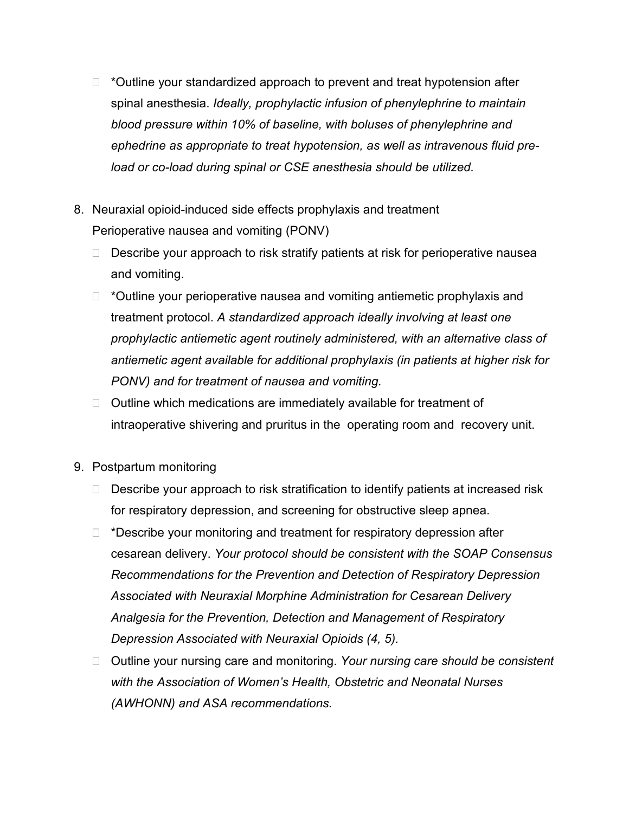- $\Box$  \*Outline your standardized approach to prevent and treat hypotension after spinal anesthesia. *Ideally, prophylactic infusion of phenylephrine to maintain blood pressure within 10% of baseline, with boluses of phenylephrine and ephedrine as appropriate to treat hypotension, as well as intravenous fluid preload or co-load during spinal or CSE anesthesia should be utilized.*
- 8. Neuraxial opioid-induced side effects prophylaxis and treatment Perioperative nausea and vomiting (PONV)
	- $\Box$  Describe your approach to risk stratify patients at risk for perioperative nausea and vomiting.
	- $\Box$  \*Outline your perioperative nausea and vomiting antiemetic prophylaxis and treatment protocol. *A standardized approach ideally involving at least one prophylactic antiemetic agent routinely administered, with an alternative class of antiemetic agent available for additional prophylaxis (in patients at higher risk for PONV) and for treatment of nausea and vomiting.*
	- $\Box$  Outline which medications are immediately available for treatment of intraoperative shivering and pruritus in the operating room and recovery unit.
- 9. Postpartum monitoring
	- $\Box$  Describe your approach to risk stratification to identify patients at increased risk for respiratory depression, and screening for obstructive sleep apnea.
	- $\Box$  \*Describe your monitoring and treatment for respiratory depression after cesarean delivery. *Your protocol should be consistent with the SOAP Consensus Recommendations for the Prevention and Detection of Respiratory Depression Associated with Neuraxial Morphine Administration for Cesarean Delivery Analgesia for the Prevention, Detection and Management of Respiratory Depression Associated with Neuraxial Opioids (4, 5).*
	- □ Outline your nursing care and monitoring. *Your nursing care should be consistent with the Association of Women's Health, Obstetric and Neonatal Nurses (AWHONN) and ASA recommendations.*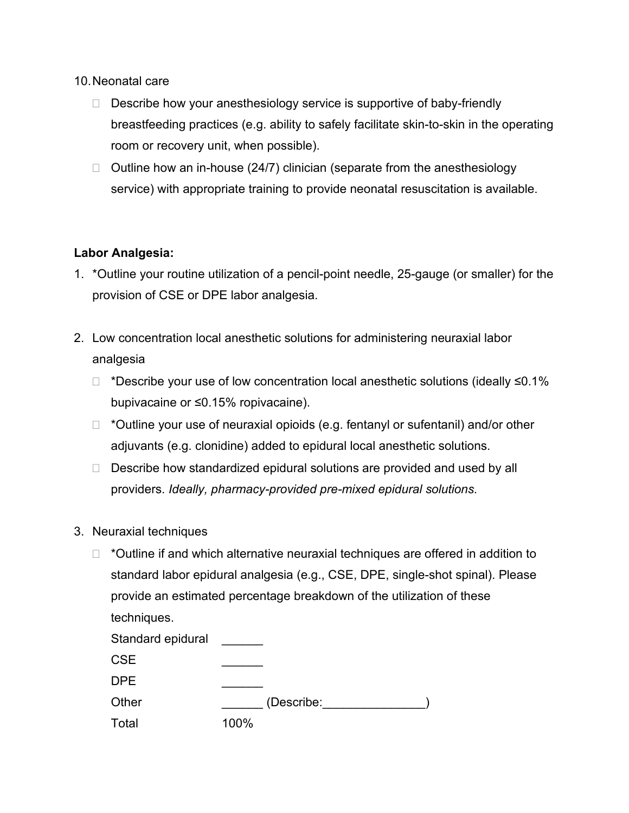#### 10.Neonatal care

- $\Box$  Describe how your anesthesiology service is supportive of baby-friendly breastfeeding practices (e.g. ability to safely facilitate skin-to-skin in the operating room or recovery unit, when possible).
- $\Box$  Outline how an in-house (24/7) clinician (separate from the anesthesiology service) with appropriate training to provide neonatal resuscitation is available.

# **Labor Analgesia:**

- 1. \*Outline your routine utilization of a pencil-point needle, 25-gauge (or smaller) for the provision of CSE or DPE labor analgesia.
- 2. Low concentration local anesthetic solutions for administering neuraxial labor analgesia
	- \*Describe your use of low concentration local anesthetic solutions (ideally ≤0.1% bupivacaine or ≤0.15% ropivacaine).
	- $\Box$  \*Outline your use of neuraxial opioids (e.g. fentanyl or sufentanil) and/or other adjuvants (e.g. clonidine) added to epidural local anesthetic solutions.
	- $\Box$  Describe how standardized epidural solutions are provided and used by all providers. *Ideally, pharmacy-provided pre-mixed epidural solutions.*
- 3. Neuraxial techniques
	- $\Box$  \*Outline if and which alternative neuraxial techniques are offered in addition to standard labor epidural analgesia (e.g., CSE, DPE, single-shot spinal). Please provide an estimated percentage breakdown of the utilization of these techniques.

| Standard epidural |            |
|-------------------|------------|
| <b>CSE</b>        |            |
| <b>DPE</b>        |            |
| Other             | (Describe: |
| Total             | 100%       |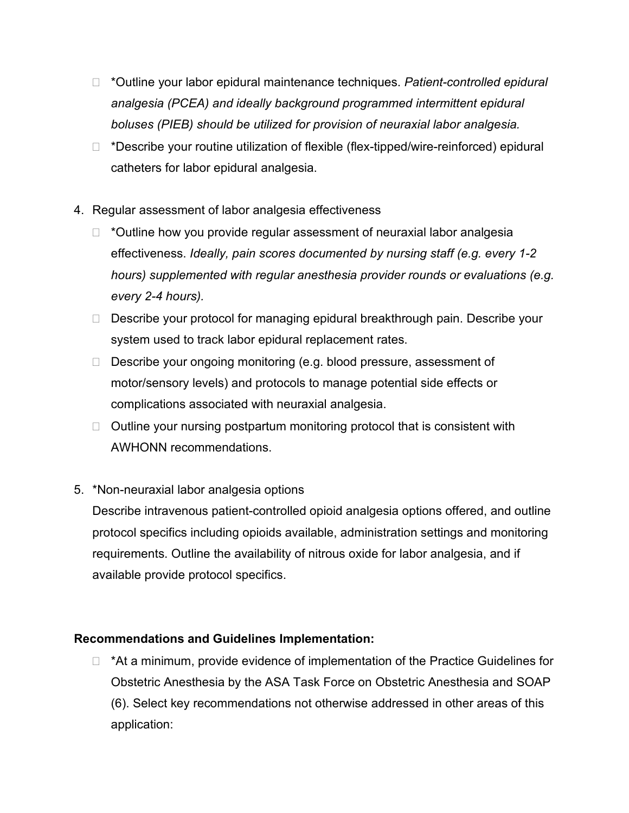- \*Outline your labor epidural maintenance techniques. *Patient-controlled epidural analgesia (PCEA) and ideally background programmed intermittent epidural boluses (PIEB) should be utilized for provision of neuraxial labor analgesia.*
- □ \*Describe your routine utilization of flexible (flex-tipped/wire-reinforced) epidural catheters for labor epidural analgesia.
- 4. Regular assessment of labor analgesia effectiveness
	- $\Box$  \*Outline how you provide regular assessment of neuraxial labor analgesia effectiveness. *Ideally, pain scores documented by nursing staff (e.g. every 1-2 hours) supplemented with regular anesthesia provider rounds or evaluations (e.g. every 2-4 hours).*
	- □ Describe your protocol for managing epidural breakthrough pain. Describe your system used to track labor epidural replacement rates.
	- $\Box$  Describe your ongoing monitoring (e.g. blood pressure, assessment of motor/sensory levels) and protocols to manage potential side effects or complications associated with neuraxial analgesia.
	- $\Box$  Outline your nursing postpartum monitoring protocol that is consistent with AWHONN recommendations.

# 5. \*Non-neuraxial labor analgesia options

Describe intravenous patient-controlled opioid analgesia options offered, and outline protocol specifics including opioids available, administration settings and monitoring requirements. Outline the availability of nitrous oxide for labor analgesia, and if available provide protocol specifics.

# **Recommendations and Guidelines Implementation:**

 $\Box$  \*At a minimum, provide evidence of implementation of the Practice Guidelines for Obstetric Anesthesia by the ASA Task Force on Obstetric Anesthesia and SOAP (6). Select key recommendations not otherwise addressed in other areas of this application: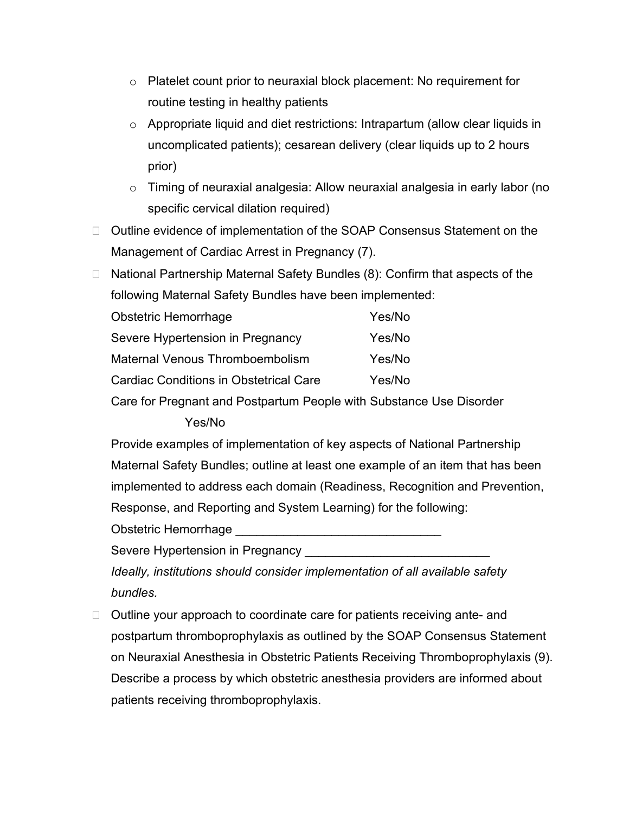- $\circ$  Platelet count prior to neuraxial block placement: No requirement for routine testing in healthy patients
- o Appropriate liquid and diet restrictions: Intrapartum (allow clear liquids in uncomplicated patients); cesarean delivery (clear liquids up to 2 hours prior)
- $\circ$  Timing of neuraxial analgesia: Allow neuraxial analgesia in early labor (no specific cervical dilation required)
- □ Outline evidence of implementation of the SOAP Consensus Statement on the Management of Cardiac Arrest in Pregnancy (7).
- □ National Partnership Maternal Safety Bundles (8): Confirm that aspects of the following Maternal Safety Bundles have been implemented:

| <b>Obstetric Hemorrhage</b>                   | Yes/No |
|-----------------------------------------------|--------|
| Severe Hypertension in Pregnancy              | Yes/No |
| Maternal Venous Thromboembolism               | Yes/No |
| <b>Cardiac Conditions in Obstetrical Care</b> | Yes/No |
|                                               |        |

Care for Pregnant and Postpartum People with Substance Use Disorder

# Yes/No

Provide examples of implementation of key aspects of National Partnership Maternal Safety Bundles; outline at least one example of an item that has been implemented to address each domain (Readiness, Recognition and Prevention, Response, and Reporting and System Learning) for the following:

Obstetric Hemorrhage

Severe Hypertension in Pregnancy

*Ideally, institutions should consider implementation of all available safety bundles.*

 $\Box$  Outline your approach to coordinate care for patients receiving ante- and postpartum thromboprophylaxis as outlined by the SOAP Consensus Statement on Neuraxial Anesthesia in Obstetric Patients Receiving Thromboprophylaxis (9). Describe a process by which obstetric anesthesia providers are informed about patients receiving thromboprophylaxis.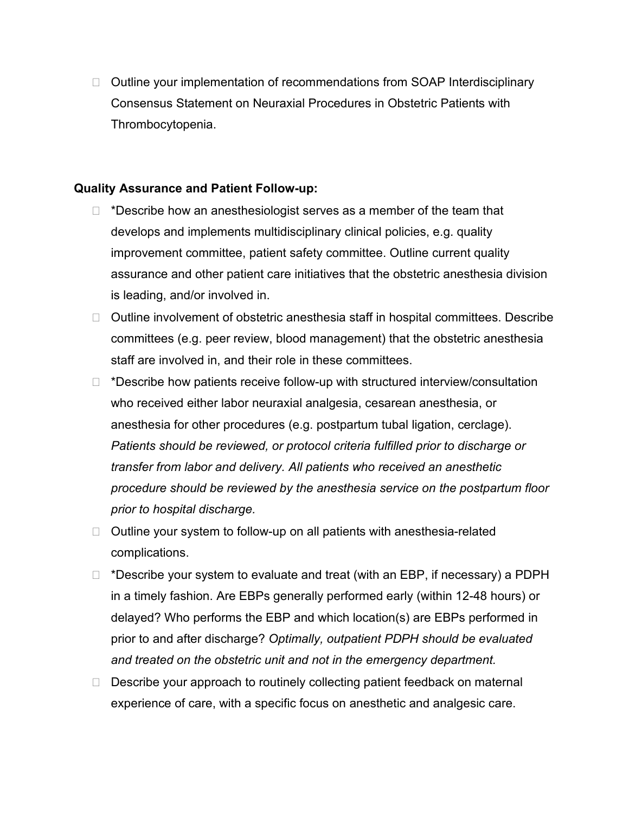□ Outline your implementation of recommendations from SOAP Interdisciplinary Consensus Statement on Neuraxial Procedures in Obstetric Patients with Thrombocytopenia.

#### **Quality Assurance and Patient Follow-up:**

- $\Box$  \*Describe how an anesthesiologist serves as a member of the team that develops and implements multidisciplinary clinical policies, e.g. quality improvement committee, patient safety committee. Outline current quality assurance and other patient care initiatives that the obstetric anesthesia division is leading, and/or involved in.
- $\Box$  Outline involvement of obstetric anesthesia staff in hospital committees. Describe committees (e.g. peer review, blood management) that the obstetric anesthesia staff are involved in, and their role in these committees.
- $\Box$  \*Describe how patients receive follow-up with structured interview/consultation who received either labor neuraxial analgesia, cesarean anesthesia, or anesthesia for other procedures (e.g. postpartum tubal ligation, cerclage). *Patients should be reviewed, or protocol criteria fulfilled prior to discharge or transfer from labor and delivery. All patients who received an anesthetic procedure should be reviewed by the anesthesia service on the postpartum floor prior to hospital discharge.*
- $\Box$  Outline your system to follow-up on all patients with anesthesia-related complications.
- $\Box$  \*Describe your system to evaluate and treat (with an EBP, if necessary) a PDPH in a timely fashion. Are EBPs generally performed early (within 12-48 hours) or delayed? Who performs the EBP and which location(s) are EBPs performed in prior to and after discharge? *Optimally, outpatient PDPH should be evaluated and treated on the obstetric unit and not in the emergency department.*
- $\Box$  Describe your approach to routinely collecting patient feedback on maternal experience of care, with a specific focus on anesthetic and analgesic care.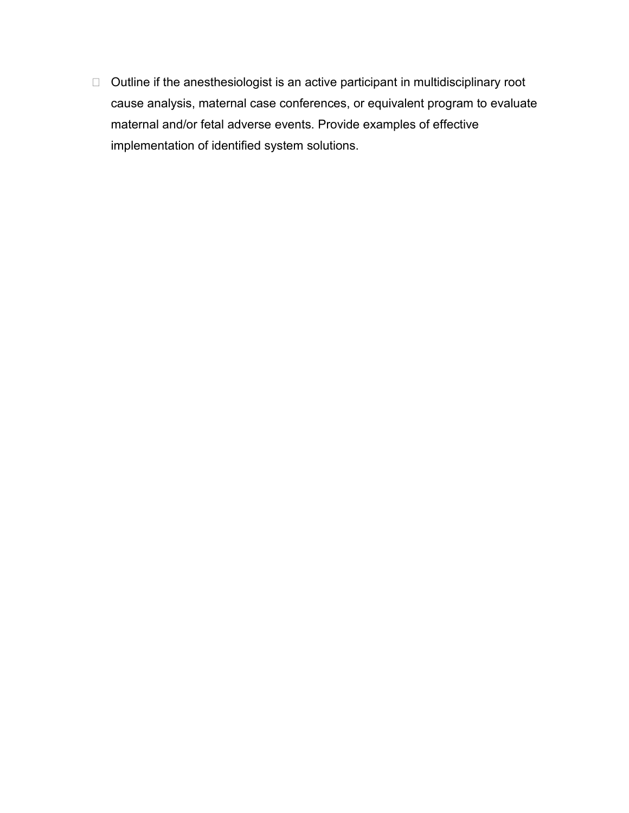$\Box$  Outline if the anesthesiologist is an active participant in multidisciplinary root cause analysis, maternal case conferences, or equivalent program to evaluate maternal and/or fetal adverse events. Provide examples of effective implementation of identified system solutions.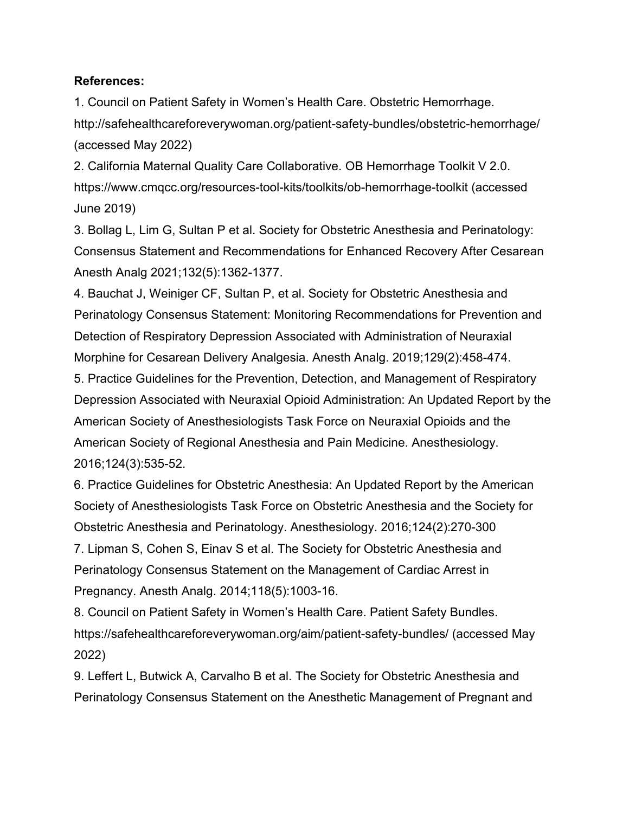#### **References:**

1. Council on Patient Safety in Women's Health Care. Obstetric Hemorrhage. <http://safehealthcareforeverywoman.org/patient-safety-bundles/obstetric-hemorrhage/> (accessed May 2022)

2. California Maternal Quality Care Collaborative. OB Hemorrhage Toolkit V 2.0. <https://www.cmqcc.org/resources-tool-kits/toolkits/ob-hemorrhage-toolkit> (accessed June 2019)

3. Bollag L, Lim G, Sultan P et al. Society for Obstetric Anesthesia and Perinatology: Consensus Statement and Recommendations for Enhanced Recovery After Cesarean Anesth Analg 2021;132(5):1362-1377.

4. Bauchat J, Weiniger CF, Sultan P, et al. Society for Obstetric Anesthesia and Perinatology Consensus Statement: Monitoring Recommendations for Prevention and Detection of Respiratory Depression Associated with Administration of Neuraxial Morphine for Cesarean Delivery Analgesia. Anesth Analg. 2019;129(2):458-474.

5. Practice Guidelines for the Prevention, Detection, and Management of Respiratory Depression Associated with Neuraxial Opioid Administration: An Updated Report by the American Society of Anesthesiologists Task Force on Neuraxial Opioids and the American Society of Regional Anesthesia and Pain Medicine. Anesthesiology. 2016;124(3):535-52.

6. Practice Guidelines for Obstetric Anesthesia: An Updated Report by the American Society of Anesthesiologists Task Force on Obstetric Anesthesia and the Society for Obstetric Anesthesia and Perinatology. Anesthesiology. 2016;124(2):270-300 7. Lipman S, Cohen S, Einav S et al. The Society for Obstetric Anesthesia and Perinatology Consensus Statement on the Management of Cardiac Arrest in Pregnancy. Anesth Analg. 2014;118(5):1003-16.

8. Council on Patient Safety in Women's Health Care. Patient Safety Bundles. https://safehealthcareforeverywoman.org/aim/patient-safety-bundles/ (accessed May 2022)

9. Leffert L, Butwick A, Carvalho B et al. The Society for Obstetric Anesthesia and Perinatology Consensus Statement on the Anesthetic Management of Pregnant and